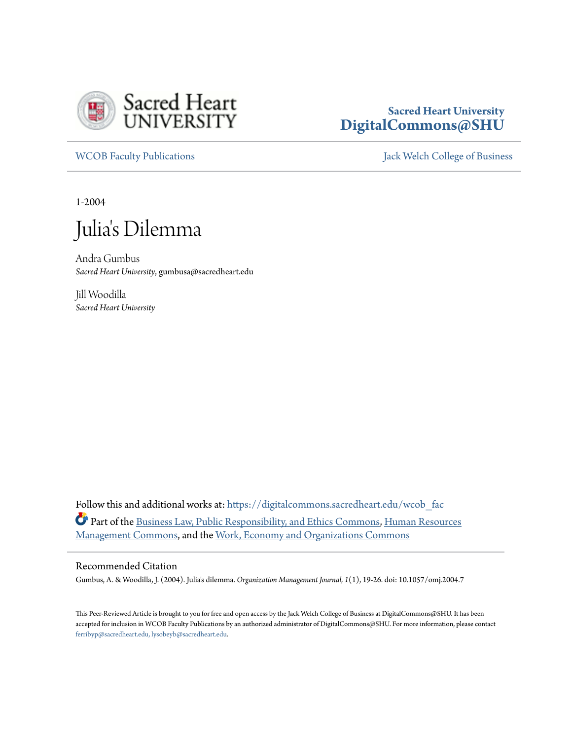

# **Sacred Heart University [DigitalCommons@SHU](https://digitalcommons.sacredheart.edu?utm_source=digitalcommons.sacredheart.edu%2Fwcob_fac%2F159&utm_medium=PDF&utm_campaign=PDFCoverPages)**

[WCOB Faculty Publications](https://digitalcommons.sacredheart.edu/wcob_fac?utm_source=digitalcommons.sacredheart.edu%2Fwcob_fac%2F159&utm_medium=PDF&utm_campaign=PDFCoverPages) **MECOB** Faculty Publications **Accord Publications** [Jack Welch College of Business](https://digitalcommons.sacredheart.edu/wcob?utm_source=digitalcommons.sacredheart.edu%2Fwcob_fac%2F159&utm_medium=PDF&utm_campaign=PDFCoverPages)

1-2004

# Julia 's Dilemma

Andra Gumbus *Sacred Heart University*, gumbusa@sacredheart.edu

Jill Woodilla *Sacred Heart University*

Follow this and additional works at: [https://digitalcommons.sacredheart.edu/wcob\\_fac](https://digitalcommons.sacredheart.edu/wcob_fac?utm_source=digitalcommons.sacredheart.edu%2Fwcob_fac%2F159&utm_medium=PDF&utm_campaign=PDFCoverPages) Part of the [Business Law, Public Responsibility, and Ethics Commons,](http://network.bepress.com/hgg/discipline/628?utm_source=digitalcommons.sacredheart.edu%2Fwcob_fac%2F159&utm_medium=PDF&utm_campaign=PDFCoverPages) [Human Resources](http://network.bepress.com/hgg/discipline/633?utm_source=digitalcommons.sacredheart.edu%2Fwcob_fac%2F159&utm_medium=PDF&utm_campaign=PDFCoverPages) [Management Commons](http://network.bepress.com/hgg/discipline/633?utm_source=digitalcommons.sacredheart.edu%2Fwcob_fac%2F159&utm_medium=PDF&utm_campaign=PDFCoverPages), and the [Work, Economy and Organizations Commons](http://network.bepress.com/hgg/discipline/433?utm_source=digitalcommons.sacredheart.edu%2Fwcob_fac%2F159&utm_medium=PDF&utm_campaign=PDFCoverPages)

#### Recommended Citation

Gumbus, A. & Woodilla, J. (2004). Julia's dilemma. *Organization Management Journal, 1*(1), 19-26. doi: 10.1057/omj.2004.7

This Peer-Reviewed Article is brought to you for free and open access by the Jack Welch College of Business at DigitalCommons@SHU. It has been accepted for inclusion in WCOB Faculty Publications by an authorized administrator of DigitalCommons@SHU. For more information, please contact [ferribyp@sacredheart.edu, lysobeyb@sacredheart.edu.](mailto:ferribyp@sacredheart.edu,%20lysobeyb@sacredheart.edu)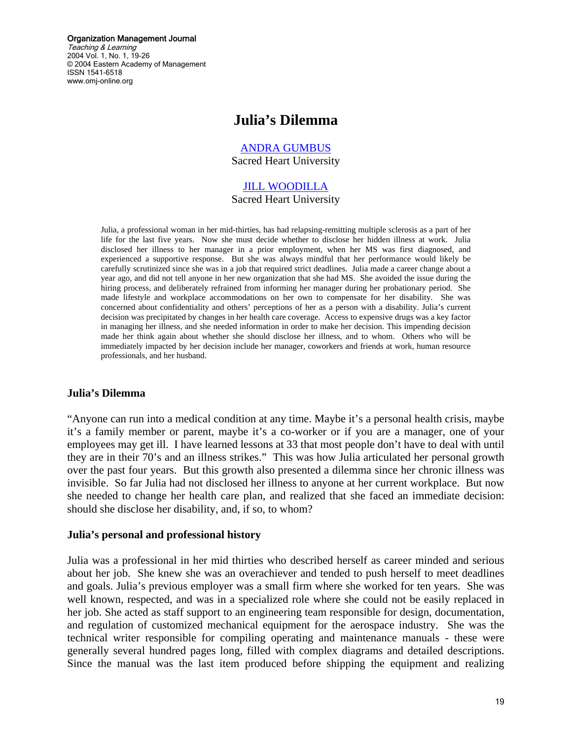Organization Management Journal

Teaching & Learning 2004 Vol. 1, No. 1, 19-26 © 2004 Eastern Academy of Management ISSN 1541-6518 www.omj-online.org

# **Julia's Dilemma**

# [ANDRA GUMBUS](mailto:gumbusa@sacredheart.edu)

Sacred Heart University

## [JILL WOODILLA](mailto:woodillaj@sacredheart.edu)

#### Sacred Heart University

Julia, a professional woman in her mid-thirties, has had relapsing-remitting multiple sclerosis as a part of her life for the last five years. Now she must decide whether to disclose her hidden illness at work. Julia disclosed her illness to her manager in a prior employment, when her MS was first diagnosed, and experienced a supportive response. But she was always mindful that her performance would likely be carefully scrutinized since she was in a job that required strict deadlines. Julia made a career change about a year ago, and did not tell anyone in her new organization that she had MS. She avoided the issue during the hiring process, and deliberately refrained from informing her manager during her probationary period. She made lifestyle and workplace accommodations on her own to compensate for her disability. She was concerned about confidentiality and others' perceptions of her as a person with a disability. Julia's current decision was precipitated by changes in her health care coverage. Access to expensive drugs was a key factor in managing her illness, and she needed information in order to make her decision. This impending decision made her think again about whether she should disclose her illness, and to whom. Others who will be immediately impacted by her decision include her manager, coworkers and friends at work, human resource professionals, and her husband.

## **Julia's Dilemma**

"Anyone can run into a medical condition at any time. Maybe it's a personal health crisis, maybe it's a family member or parent, maybe it's a co-worker or if you are a manager, one of your employees may get ill. I have learned lessons at 33 that most people don't have to deal with until they are in their 70's and an illness strikes." This was how Julia articulated her personal growth over the past four years. But this growth also presented a dilemma since her chronic illness was invisible. So far Julia had not disclosed her illness to anyone at her current workplace. But now she needed to change her health care plan, and realized that she faced an immediate decision: should she disclose her disability, and, if so, to whom?

#### **Julia's personal and professional history**

Julia was a professional in her mid thirties who described herself as career minded and serious about her job. She knew she was an overachiever and tended to push herself to meet deadlines and goals. Julia's previous employer was a small firm where she worked for ten years. She was well known, respected, and was in a specialized role where she could not be easily replaced in her job. She acted as staff support to an engineering team responsible for design, documentation, and regulation of customized mechanical equipment for the aerospace industry. She was the technical writer responsible for compiling operating and maintenance manuals - these were generally several hundred pages long, filled with complex diagrams and detailed descriptions. Since the manual was the last item produced before shipping the equipment and realizing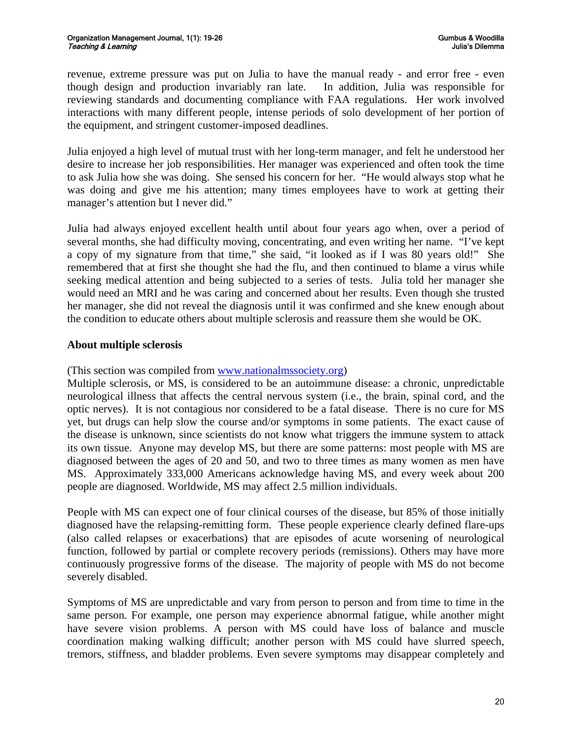revenue, extreme pressure was put on Julia to have the manual ready - and error free - even though design and production invariably ran late. In addition, Julia was responsible for reviewing standards and documenting compliance with FAA regulations. Her work involved interactions with many different people, intense periods of solo development of her portion of the equipment, and stringent customer-imposed deadlines.

Julia enjoyed a high level of mutual trust with her long-term manager, and felt he understood her desire to increase her job responsibilities. Her manager was experienced and often took the time to ask Julia how she was doing. She sensed his concern for her. "He would always stop what he was doing and give me his attention; many times employees have to work at getting their manager's attention but I never did."

Julia had always enjoyed excellent health until about four years ago when, over a period of several months, she had difficulty moving, concentrating, and even writing her name. "I've kept a copy of my signature from that time," she said, "it looked as if I was 80 years old!" She remembered that at first she thought she had the flu, and then continued to blame a virus while seeking medical attention and being subjected to a series of tests. Julia told her manager she would need an MRI and he was caring and concerned about her results. Even though she trusted her manager, she did not reveal the diagnosis until it was confirmed and she knew enough about the condition to educate others about multiple sclerosis and reassure them she would be OK.

# **About multiple sclerosis**

(This section was compiled from [www.nationalmssociety.org\)](www.nationalmssociety.org)

Multiple sclerosis, or MS, is considered to be an autoimmune disease: a chronic, unpredictable neurological illness that affects the central nervous system (i.e., the brain, spinal cord, and the optic nerves). It is not contagious nor considered to be a fatal disease. There is no cure for MS yet, but drugs can help slow the course and/or symptoms in some patients. The exact cause of the disease is unknown, since scientists do not know what triggers the immune system to attack its own tissue. Anyone may develop MS, but there are some patterns: most people with MS are diagnosed between the ages of 20 and 50, and two to three times as many women as men have MS. Approximately 333,000 Americans acknowledge having MS, and every week about 200 people are diagnosed. Worldwide, MS may affect 2.5 million individuals.

People with MS can expect one of four clinical courses of the disease, but 85% of those initially diagnosed have the relapsing-remitting form. These people experience clearly defined flare-ups (also called relapses or exacerbations) that are episodes of acute worsening of neurological function, followed by partial or complete recovery periods (remissions). Others may have more continuously progressive forms of the disease. The majority of people with MS do not become severely disabled.

Symptoms of MS are unpredictable and vary from person to person and from time to time in the same person. For example, one person may experience abnormal fatigue, while another might have severe vision problems. A person with MS could have loss of balance and muscle coordination making walking difficult; another person with MS could have slurred speech, tremors, stiffness, and bladder problems. Even severe symptoms may disappear completely and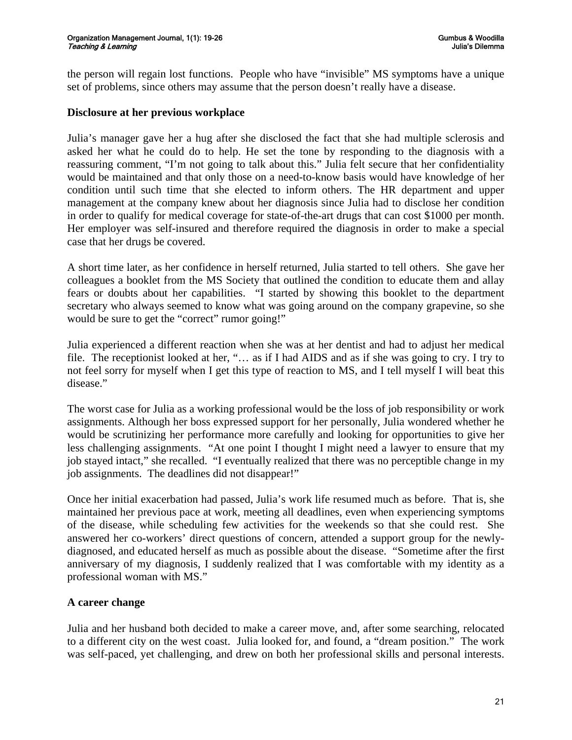the person will regain lost functions. People who have "invisible" MS symptoms have a unique set of problems, since others may assume that the person doesn't really have a disease.

# **Disclosure at her previous workplace**

Julia's manager gave her a hug after she disclosed the fact that she had multiple sclerosis and asked her what he could do to help. He set the tone by responding to the diagnosis with a reassuring comment, "I'm not going to talk about this." Julia felt secure that her confidentiality would be maintained and that only those on a need-to-know basis would have knowledge of her condition until such time that she elected to inform others. The HR department and upper management at the company knew about her diagnosis since Julia had to disclose her condition in order to qualify for medical coverage for state-of-the-art drugs that can cost \$1000 per month. Her employer was self-insured and therefore required the diagnosis in order to make a special case that her drugs be covered.

A short time later, as her confidence in herself returned, Julia started to tell others. She gave her colleagues a booklet from the MS Society that outlined the condition to educate them and allay fears or doubts about her capabilities. "I started by showing this booklet to the department secretary who always seemed to know what was going around on the company grapevine, so she would be sure to get the "correct" rumor going!"

Julia experienced a different reaction when she was at her dentist and had to adjust her medical file. The receptionist looked at her, "… as if I had AIDS and as if she was going to cry. I try to not feel sorry for myself when I get this type of reaction to MS, and I tell myself I will beat this disease."

The worst case for Julia as a working professional would be the loss of job responsibility or work assignments. Although her boss expressed support for her personally, Julia wondered whether he would be scrutinizing her performance more carefully and looking for opportunities to give her less challenging assignments. "At one point I thought I might need a lawyer to ensure that my job stayed intact," she recalled. "I eventually realized that there was no perceptible change in my job assignments. The deadlines did not disappear!"

Once her initial exacerbation had passed, Julia's work life resumed much as before. That is, she maintained her previous pace at work, meeting all deadlines, even when experiencing symptoms of the disease, while scheduling few activities for the weekends so that she could rest. She answered her co-workers' direct questions of concern, attended a support group for the newlydiagnosed, and educated herself as much as possible about the disease. "Sometime after the first anniversary of my diagnosis, I suddenly realized that I was comfortable with my identity as a professional woman with MS."

# **A career change**

Julia and her husband both decided to make a career move, and, after some searching, relocated to a different city on the west coast. Julia looked for, and found, a "dream position." The work was self-paced, yet challenging, and drew on both her professional skills and personal interests.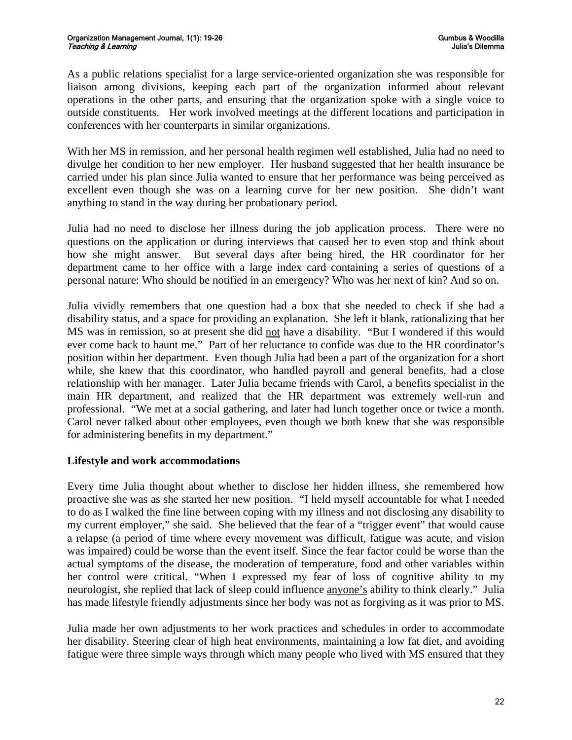As a public relations specialist for a large service-oriented organization she was responsible for liaison among divisions, keeping each part of the organization informed about relevant operations in the other parts, and ensuring that the organization spoke with a single voice to outside constituents. Her work involved meetings at the different locations and participation in conferences with her counterparts in similar organizations.

With her MS in remission, and her personal health regimen well established, Julia had no need to divulge her condition to her new employer. Her husband suggested that her health insurance be carried under his plan since Julia wanted to ensure that her performance was being perceived as excellent even though she was on a learning curve for her new position. She didn't want anything to stand in the way during her probationary period.

Julia had no need to disclose her illness during the job application process. There were no questions on the application or during interviews that caused her to even stop and think about how she might answer. But several days after being hired, the HR coordinator for her department came to her office with a large index card containing a series of questions of a personal nature: Who should be notified in an emergency? Who was her next of kin? And so on.

Julia vividly remembers that one question had a box that she needed to check if she had a disability status, and a space for providing an explanation. She left it blank, rationalizing that her MS was in remission, so at present she did not have a disability. "But I wondered if this would ever come back to haunt me." Part of her reluctance to confide was due to the HR coordinator's position within her department. Even though Julia had been a part of the organization for a short while, she knew that this coordinator, who handled payroll and general benefits, had a close relationship with her manager. Later Julia became friends with Carol, a benefits specialist in the main HR department, and realized that the HR department was extremely well-run and professional. "We met at a social gathering, and later had lunch together once or twice a month. Carol never talked about other employees, even though we both knew that she was responsible for administering benefits in my department."

# **Lifestyle and work accommodations**

Every time Julia thought about whether to disclose her hidden illness, she remembered how proactive she was as she started her new position. "I held myself accountable for what I needed to do as I walked the fine line between coping with my illness and not disclosing any disability to my current employer," she said. She believed that the fear of a "trigger event" that would cause a relapse (a period of time where every movement was difficult, fatigue was acute, and vision was impaired) could be worse than the event itself. Since the fear factor could be worse than the actual symptoms of the disease, the moderation of temperature, food and other variables within her control were critical. "When I expressed my fear of loss of cognitive ability to my neurologist, she replied that lack of sleep could influence anyone's ability to think clearly." Julia has made lifestyle friendly adjustments since her body was not as forgiving as it was prior to MS.

Julia made her own adjustments to her work practices and schedules in order to accommodate her disability. Steering clear of high heat environments, maintaining a low fat diet, and avoiding fatigue were three simple ways through which many people who lived with MS ensured that they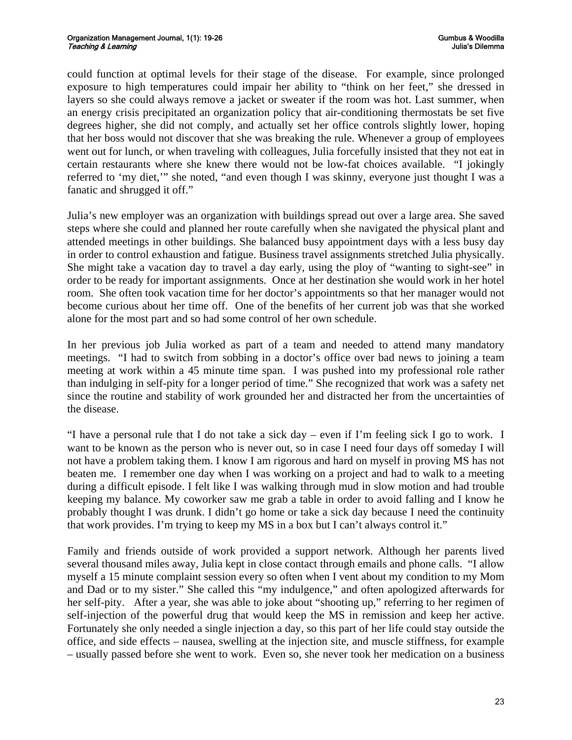could function at optimal levels for their stage of the disease. For example, since prolonged exposure to high temperatures could impair her ability to "think on her feet," she dressed in layers so she could always remove a jacket or sweater if the room was hot. Last summer, when an energy crisis precipitated an organization policy that air-conditioning thermostats be set five degrees higher, she did not comply, and actually set her office controls slightly lower, hoping that her boss would not discover that she was breaking the rule. Whenever a group of employees went out for lunch, or when traveling with colleagues, Julia forcefully insisted that they not eat in certain restaurants where she knew there would not be low-fat choices available. "I jokingly referred to 'my diet,'" she noted, "and even though I was skinny, everyone just thought I was a fanatic and shrugged it off."

Julia's new employer was an organization with buildings spread out over a large area. She saved steps where she could and planned her route carefully when she navigated the physical plant and attended meetings in other buildings. She balanced busy appointment days with a less busy day in order to control exhaustion and fatigue. Business travel assignments stretched Julia physically. She might take a vacation day to travel a day early, using the ploy of "wanting to sight-see" in order to be ready for important assignments. Once at her destination she would work in her hotel room. She often took vacation time for her doctor's appointments so that her manager would not become curious about her time off. One of the benefits of her current job was that she worked alone for the most part and so had some control of her own schedule.

In her previous job Julia worked as part of a team and needed to attend many mandatory meetings. "I had to switch from sobbing in a doctor's office over bad news to joining a team meeting at work within a 45 minute time span. I was pushed into my professional role rather than indulging in self-pity for a longer period of time." She recognized that work was a safety net since the routine and stability of work grounded her and distracted her from the uncertainties of the disease.

"I have a personal rule that I do not take a sick day – even if I'm feeling sick I go to work. I want to be known as the person who is never out, so in case I need four days off someday I will not have a problem taking them. I know I am rigorous and hard on myself in proving MS has not beaten me. I remember one day when I was working on a project and had to walk to a meeting during a difficult episode. I felt like I was walking through mud in slow motion and had trouble keeping my balance. My coworker saw me grab a table in order to avoid falling and I know he probably thought I was drunk. I didn't go home or take a sick day because I need the continuity that work provides. I'm trying to keep my MS in a box but I can't always control it."

Family and friends outside of work provided a support network. Although her parents lived several thousand miles away, Julia kept in close contact through emails and phone calls. "I allow myself a 15 minute complaint session every so often when I vent about my condition to my Mom and Dad or to my sister." She called this "my indulgence," and often apologized afterwards for her self-pity. After a year, she was able to joke about "shooting up," referring to her regimen of self-injection of the powerful drug that would keep the MS in remission and keep her active. Fortunately she only needed a single injection a day, so this part of her life could stay outside the office, and side effects – nausea, swelling at the injection site, and muscle stiffness, for example – usually passed before she went to work. Even so, she never took her medication on a business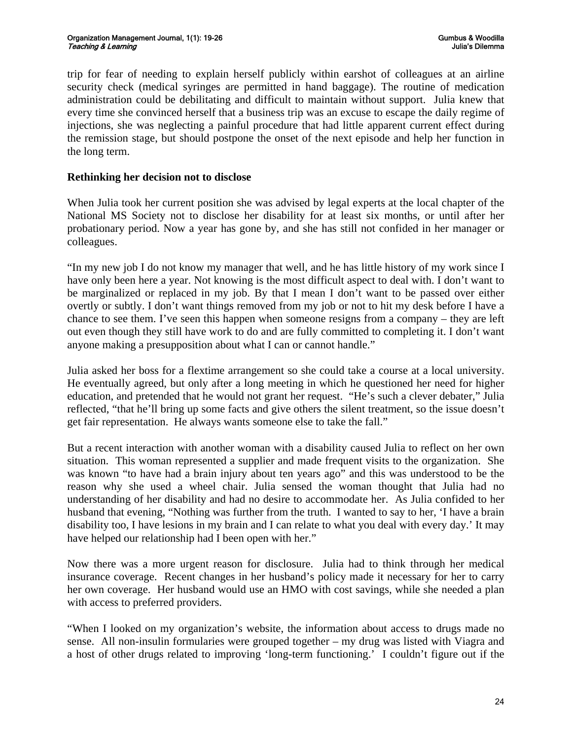trip for fear of needing to explain herself publicly within earshot of colleagues at an airline security check (medical syringes are permitted in hand baggage). The routine of medication administration could be debilitating and difficult to maintain without support. Julia knew that every time she convinced herself that a business trip was an excuse to escape the daily regime of injections, she was neglecting a painful procedure that had little apparent current effect during the remission stage, but should postpone the onset of the next episode and help her function in the long term.

# **Rethinking her decision not to disclose**

When Julia took her current position she was advised by legal experts at the local chapter of the National MS Society not to disclose her disability for at least six months, or until after her probationary period. Now a year has gone by, and she has still not confided in her manager or colleagues.

"In my new job I do not know my manager that well, and he has little history of my work since I have only been here a year. Not knowing is the most difficult aspect to deal with. I don't want to be marginalized or replaced in my job. By that I mean I don't want to be passed over either overtly or subtly. I don't want things removed from my job or not to hit my desk before I have a chance to see them. I've seen this happen when someone resigns from a company – they are left out even though they still have work to do and are fully committed to completing it. I don't want anyone making a presupposition about what I can or cannot handle."

Julia asked her boss for a flextime arrangement so she could take a course at a local university. He eventually agreed, but only after a long meeting in which he questioned her need for higher education, and pretended that he would not grant her request. "He's such a clever debater," Julia reflected, "that he'll bring up some facts and give others the silent treatment, so the issue doesn't get fair representation. He always wants someone else to take the fall."

But a recent interaction with another woman with a disability caused Julia to reflect on her own situation. This woman represented a supplier and made frequent visits to the organization. She was known "to have had a brain injury about ten years ago" and this was understood to be the reason why she used a wheel chair. Julia sensed the woman thought that Julia had no understanding of her disability and had no desire to accommodate her. As Julia confided to her husband that evening, "Nothing was further from the truth. I wanted to say to her, 'I have a brain disability too, I have lesions in my brain and I can relate to what you deal with every day.' It may have helped our relationship had I been open with her."

Now there was a more urgent reason for disclosure. Julia had to think through her medical insurance coverage. Recent changes in her husband's policy made it necessary for her to carry her own coverage. Her husband would use an HMO with cost savings, while she needed a plan with access to preferred providers.

"When I looked on my organization's website, the information about access to drugs made no sense. All non-insulin formularies were grouped together – my drug was listed with Viagra and a host of other drugs related to improving 'long-term functioning.' I couldn't figure out if the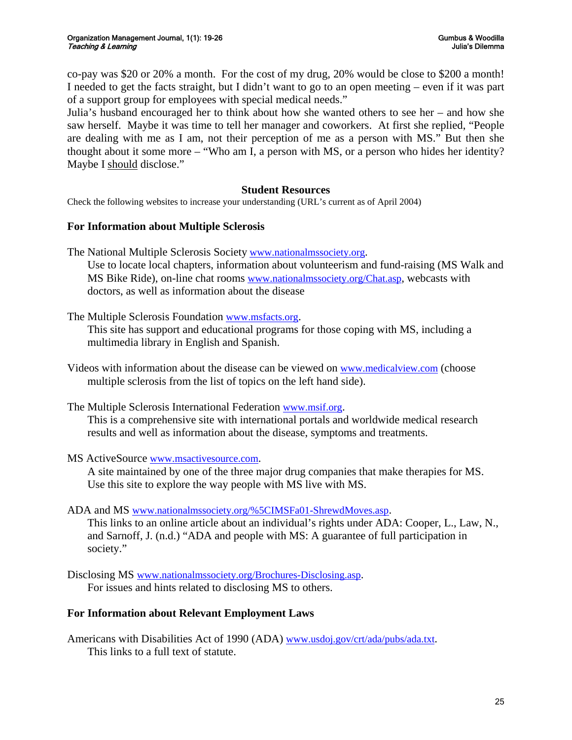co-pay was \$20 or 20% a month. For the cost of my drug, 20% would be close to \$200 a month! I needed to get the facts straight, but I didn't want to go to an open meeting – even if it was part of a support group for employees with special medical needs."

Julia's husband encouraged her to think about how she wanted others to see her – and how she saw herself. Maybe it was time to tell her manager and coworkers. At first she replied, "People are dealing with me as I am, not their perception of me as a person with MS." But then she thought about it some more – "Who am I, a person with MS, or a person who hides her identity? Maybe I should disclose."

# **Student Resources**

Check the following websites to increase your understanding (URL's current as of April 2004)

## **For Information about Multiple Sclerosis**

- The National Multiple Sclerosis Society [www.nationalmssociety.org.](http://www.nationalmssociety.org/) Use to locate local chapters, information about volunteerism and fund-raising (MS Walk and MS Bike Ride), on-line chat rooms [www.nationalmssociety.org/Chat.asp,](http://www.nationalmssociety.org/Chat.asp) webcasts with doctors, as well as information about the disease
- The Multiple Sclerosis Foundation [www.msfacts.org.](http://www.msfacts.org/)

This site has support and educational programs for those coping with MS, including a multimedia library in English and Spanish.

Videos with information about the disease can be viewed on [www.medicalview.com](http://www.medicalview.com/) (choose multiple sclerosis from the list of topics on the left hand side).

The Multiple Sclerosis International Federation [www.msif.org](http://www.msif.org/). This is a comprehensive site with international portals and worldwide medical research results and well as information about the disease, symptoms and treatments.

MS ActiveSource [www.msactivesource.com.](http://www.msactivesource.com/)

A site maintained by one of the three major drug companies that make therapies for MS. Use this site to explore the way people with MS live with MS.

ADA and MS [www.nationalmssociety.org/%5CIMSFa01-ShrewdMoves.asp](http://www.nationalmssociety.org/IMSFa01-ShrewdMoves.asp). This links to an online article about an individual's rights under ADA: Cooper, L., Law, N., and Sarnoff, J. (n.d.) "ADA and people with MS: A guarantee of full participation in society."

Disclosing MS [www.nationalmssociety.org/Brochures-Disclosing.asp](http://www.nationalmssociety.org/Brochures-Disclosing.asp). For issues and hints related to disclosing MS to others.

## **For Information about Relevant Employment Laws**

Americans with Disabilities Act of 1990 (ADA) [www.usdoj.gov/crt/ada/pubs/ada.txt](http://www.usdoj.gov/crt/ada/pubs/ada.txt). This links to a full text of statute.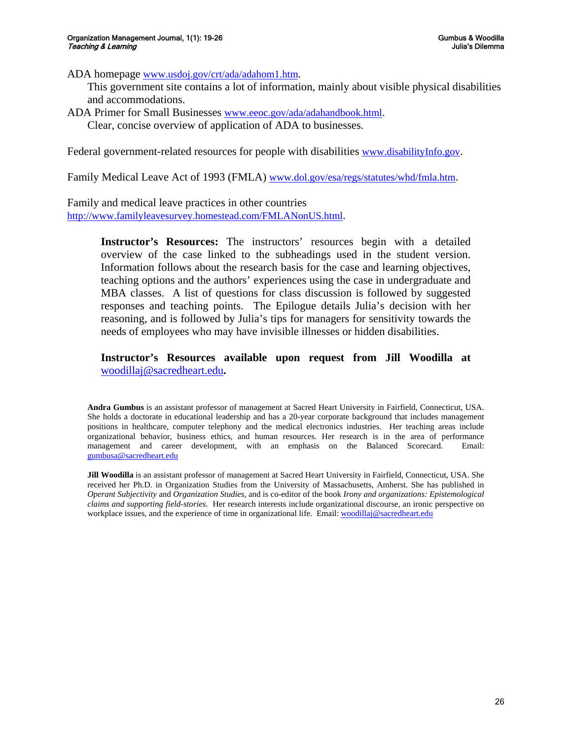ADA homepage [www.usdoj.gov/crt/ada/adahom1.htm](http://www.usdoj.gov/crt/ada/adahom1.htm).

- This government site contains a lot of information, mainly about visible physical disabilities and accommodations.
- ADA Primer for Small Businesses [www.eeoc.gov/ada/adahandbook.html](http://www.eeoc.gov/ada/adahandbook.html). Clear, concise overview of application of ADA to businesses.

Federal government-related resources for people with disabilities [www.disabilityInfo.gov.](http://www.disabilityinfo.gov/)

Family Medical Leave Act of 1993 (FMLA) [www.dol.gov/esa/regs/statutes/whd/fmla.htm.](http://www.dol.gov/esa/regs/statutes/whd/fmla.htm)

Family and medical leave practices in other countries <http://www.familyleavesurvey.homestead.com/FMLANonUS.html>.

> **Instructor's Resources:** The instructors' resources begin with a detailed overview of the case linked to the subheadings used in the student version. Information follows about the research basis for the case and learning objectives, teaching options and the authors' experiences using the case in undergraduate and MBA classes. A list of questions for class discussion is followed by suggested responses and teaching points. The Epilogue details Julia's decision with her reasoning, and is followed by Julia's tips for managers for sensitivity towards the needs of employees who may have invisible illnesses or hidden disabilities.

# **Instructor's Resources available upon request from Jill Woodilla at**  [woodillaj@sacredheart.edu](mailto:Woodillaj@sacredheart.edu)**.**

**Andra Gumbus** is an assistant professor of management at Sacred Heart University in Fairfield, Connecticut, USA. She holds a doctorate in educational leadership and has a 20-year corporate background that includes management positions in healthcare, computer telephony and the medical electronics industries. Her teaching areas include organizational behavior, business ethics, and human resources. Her research is in the area of performance management and career development, with an emphasis on the Balanced Scorecard. Email: [gumbusa@sacredheart.edu](mailto:gumbusa@sacredheart.edu)

**Jill Woodilla** is an assistant professor of management at Sacred Heart University in Fairfield, Connecticut, USA. She received her Ph.D. in Organization Studies from the University of Massachusetts, Amherst. She has published in *Operant Subjectivity* and *Organization Studies*, and is co-editor of the book *Irony and organizations: Epistemological claims and supporting field-stories*. Her research interests include organizational discourse, an ironic perspective on workplace issues, and the experience of time in organizational life. Email: [woodillaj@sacredheart.edu](mailto:woodillaj@sacredheart.edu)